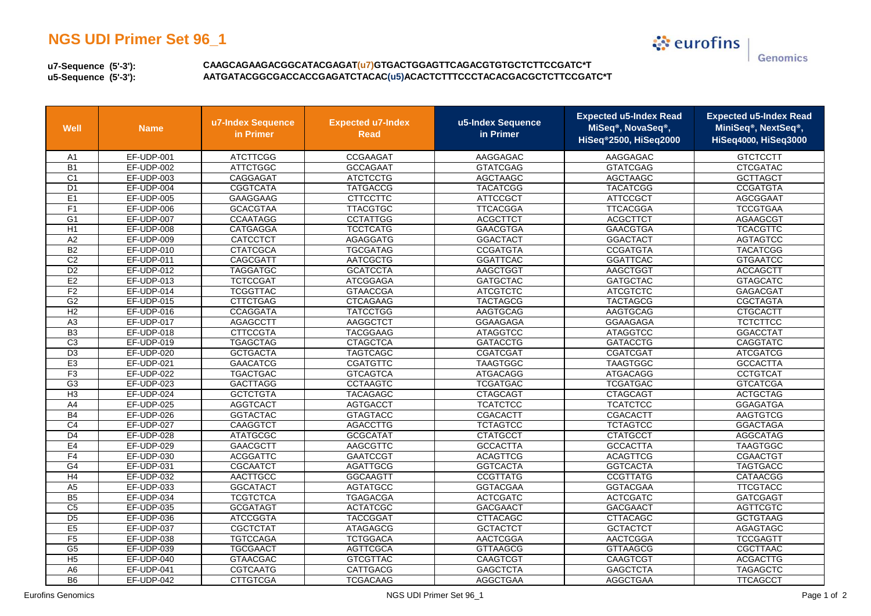## **NGS UDI Primer Set 96\_1**

े eurofins Genomics

**u7-Sequence (5'-3'):u5-Sequence (5'-3'):**

 **CAAGCAGAAGACGGCATACGAGAT(u7)GTGACTGGAGTTCAGACGTGTGCTCTTCCGATC\*TAATGATACGGCGACCACCGAGATCTACAC(u5)ACACTCTTTCCCTACACGACGCTCTTCCGATC\*T**

| Well            | <b>Name</b>       | u7-Index Sequence<br>in Primer | <b>Expected u7-Index</b><br><b>Read</b> | u5-Index Sequence<br>in Primer | <b>Expected u5-Index Read</b><br>MiSeq <sup>®</sup> , NovaSeq <sup>®</sup> ,<br>HiSeq®2500, HiSeq2000 | <b>Expected u5-Index Read</b><br>MiniSeq®, NextSeq®,<br>HiSeq4000, HiSeq3000 |
|-----------------|-------------------|--------------------------------|-----------------------------------------|--------------------------------|-------------------------------------------------------------------------------------------------------|------------------------------------------------------------------------------|
| A1              | EF-UDP-001        | <b>ATCTTCGG</b>                | CCGAAGAT                                | AAGGAGAC                       | AAGGAGAC                                                                                              | <b>GTCTCCTT</b>                                                              |
| $\overline{B1}$ | EF-UDP-002        | <b>ATTCTGGC</b>                | <b>GCCAGAAT</b>                         | <b>GTATCGAG</b>                | <b>GTATCGAG</b>                                                                                       | <b>CTCGATAC</b>                                                              |
| C <sub>1</sub>  | EF-UDP-003        | CAGGAGAT                       | <b>ATCTCCTG</b>                         | AGCTAAGC                       | AGCTAAGC                                                                                              | <b>GCTTAGCT</b>                                                              |
| D <sub>1</sub>  | EF-UDP-004        | <b>CGGTCATA</b>                | <b>TATGACCG</b>                         | <b>TACATCGG</b>                | <b>TACATCGG</b>                                                                                       | <b>CCGATGTA</b>                                                              |
| E1              | EF-UDP-005        | GAAGGAAG                       | <b>CTTCCTTC</b>                         | <b>ATTCCGCT</b>                | <b>ATTCCGCT</b>                                                                                       | <b>AGCGGAAT</b>                                                              |
| F1              | EF-UDP-006        | <b>GCACGTAA</b>                | <b>TTACGTGC</b>                         | <b>TTCACGGA</b>                | <b>TTCACGGA</b>                                                                                       | <b>TCCGTGAA</b>                                                              |
| G1              | EF-UDP-007        | <b>CCAATAGG</b>                | <b>CCTATTGG</b>                         | <b>ACGCTTCT</b>                | <b>ACGCTTCT</b>                                                                                       | AGAAGCGT                                                                     |
| H1              | EF-UDP-008        | <b>CATGAGGA</b>                | <b>TCCTCATG</b>                         | <b>GAACGTGA</b>                | <b>GAACGTGA</b>                                                                                       | <b>TCACGTTC</b>                                                              |
| A2              | EF-UDP-009        | CATCCTCT                       | <b>AGAGGATG</b>                         | <b>GGACTACT</b>                | <b>GGACTACT</b>                                                                                       | <b>AGTAGTCC</b>                                                              |
| B2              | EF-UDP-010        | <b>CTATCGCA</b>                | <b>TGCGATAG</b>                         | <b>CCGATGTA</b>                | <b>CCGATGTA</b>                                                                                       | <b>TACATCGG</b>                                                              |
| C <sub>2</sub>  | EF-UDP-011        | CAGCGATT                       | <b>AATCGCTG</b>                         | <b>GGATTCAC</b>                | <b>GGATTCAC</b>                                                                                       | <b>GTGAATCC</b>                                                              |
| D2              | EF-UDP-012        | <b>TAGGATGC</b>                | <b>GCATCCTA</b>                         | AAGCTGGT                       | AAGCTGGT                                                                                              | <b>ACCAGCTT</b>                                                              |
| E2              | EF-UDP-013        | <b>TCTCCGAT</b>                | <b>ATCGGAGA</b>                         | <b>GATGCTAC</b>                | <b>GATGCTAC</b>                                                                                       | <b>GTAGCATC</b>                                                              |
| F <sub>2</sub>  | EF-UDP-014        | <b>TCGGTTAC</b>                | <b>GTAACCGA</b>                         | <b>ATCGTCTC</b>                | <b>ATCGTCTC</b>                                                                                       | <b>GAGACGAT</b>                                                              |
| G <sub>2</sub>  | EF-UDP-015        | <b>CTTCTGAG</b>                | <b>CTCAGAAG</b>                         | <b>TACTAGCG</b>                | <b>TACTAGCG</b>                                                                                       | <b>CGCTAGTA</b>                                                              |
| H <sub>2</sub>  | EF-UDP-016        | <b>CCAGGATA</b>                | <b>TATCCTGG</b>                         | <b>AAGTGCAG</b>                | <b>AAGTGCAG</b>                                                                                       | <b>CTGCACTT</b>                                                              |
| A3              | EF-UDP-017        | <b>AGAGCCTT</b>                | AAGGCTCT                                | <b>GGAAGAGA</b>                | <b>GGAAGAGA</b>                                                                                       | <b>TCTCTTCC</b>                                                              |
| B3              | EF-UDP-018        | <b>CTTCCGTA</b>                | <b>TACGGAAG</b>                         | <b>ATAGGTCC</b>                | <b>ATAGGTCC</b>                                                                                       | <b>GGACCTAT</b>                                                              |
| C <sub>3</sub>  | <b>EF-UDP-019</b> | <b>TGAGCTAG</b>                | <b>CTAGCTCA</b>                         | <b>GATACCTG</b>                | <b>GATACCTG</b>                                                                                       | <b>CAGGTATC</b>                                                              |
| $\overline{D3}$ | <b>EF-UDP-020</b> | <b>GCTGACTA</b>                | <b>TAGTCAGC</b>                         | <b>CGATCGAT</b>                | CGATCGAT                                                                                              | <b>ATCGATCG</b>                                                              |
| E3              | <b>EF-UDP-021</b> | <b>GAACATCG</b>                | <b>CGATGTTC</b>                         | <b>TAAGTGGC</b>                | <b>TAAGTGGC</b>                                                                                       | <b>GCCACTTA</b>                                                              |
| F3              | <b>EF-UDP-022</b> | <b>TGACTGAC</b>                | <b>GTCAGTCA</b>                         | <b>ATGACAGG</b>                | <b>ATGACAGG</b>                                                                                       | <b>CCTGTCAT</b>                                                              |
| G3              | <b>EF-UDP-023</b> | <b>GACTTAGG</b>                | <b>CCTAAGTC</b>                         | <b>TCGATGAC</b>                | <b>TCGATGAC</b>                                                                                       | <b>GTCATCGA</b>                                                              |
| $H_3$           | EF-UDP-024        | <b>GCTCTGTA</b>                | <b>TACAGAGC</b>                         | <b>CTAGCAGT</b>                | <b>CTAGCAGT</b>                                                                                       | <b>ACTGCTAG</b>                                                              |
| A4              | <b>EF-UDP-025</b> | <b>AGGTCACT</b>                | <b>AGTGACCT</b>                         | <b>TCATCTCC</b>                | <b>TCATCTCC</b>                                                                                       | <b>GGAGATGA</b>                                                              |
| <b>B4</b>       | EF-UDP-026        | <b>GGTACTAC</b>                | <b>GTAGTACC</b>                         | CGACACTT                       | <b>CGACACTT</b>                                                                                       | <b>AAGTGTCG</b>                                                              |
| C4              | EF-UDP-027        | <b>CAAGGTCT</b>                | <b>AGACCTTG</b>                         | <b>TCTAGTCC</b>                | <b>TCTAGTCC</b>                                                                                       | <b>GGACTAGA</b>                                                              |
| $\overline{D4}$ | EF-UDP-028        | <b>ATATGCGC</b>                | <b>GCGCATAT</b>                         | <b>CTATGCCT</b>                | <b>CTATGCCT</b>                                                                                       | <b>AGGCATAG</b>                                                              |
| E4              | <b>EF-UDP-029</b> | <b>GAACGCTT</b>                | AAGCGTTC                                | <b>GCCACTTA</b>                | <b>GCCACTTA</b>                                                                                       | <b>TAAGTGGC</b>                                                              |
| F <sub>4</sub>  | EF-UDP-030        | <b>ACGGATTC</b>                | <b>GAATCCGT</b>                         | <b>ACAGTTCG</b>                | <b>ACAGTTCG</b>                                                                                       | <b>CGAACTGT</b>                                                              |
| G4              | EF-UDP-031        | <b>CGCAATCT</b>                | <b>AGATTGCG</b>                         | <b>GGTCACTA</b>                | <b>GGTCACTA</b>                                                                                       | <b>TAGTGACC</b>                                                              |
| H4              | <b>EF-UDP-032</b> | AACTTGCC                       | <b>GGCAAGTT</b>                         | <b>CCGTTATG</b>                | <b>CCGTTATG</b>                                                                                       | <b>CATAACGG</b>                                                              |
| A5              | EF-UDP-033        | <b>GGCATACT</b>                | <b>AGTATGCC</b>                         | <b>GGTACGAA</b>                | <b>GGTACGAA</b>                                                                                       | <b>TTCGTACC</b>                                                              |
| B <sub>5</sub>  | EF-UDP-034        | <b>TCGTCTCA</b>                | <b>TGAGACGA</b>                         | <b>ACTCGATC</b>                | <b>ACTCGATC</b>                                                                                       | <b>GATCGAGT</b>                                                              |
| C <sub>5</sub>  | EF-UDP-035        | <b>GCGATAGT</b>                | <b>ACTATCGC</b>                         | <b>GACGAACT</b>                | GACGAACT                                                                                              | <b>AGTTCGTC</b>                                                              |
| D <sub>5</sub>  | EF-UDP-036        | <b>ATCCGGTA</b>                | <b>TACCGGAT</b>                         | <b>CTTACAGC</b>                | <b>CTTACAGC</b>                                                                                       | <b>GCTGTAAG</b>                                                              |
| E <sub>5</sub>  | EF-UDP-037        | <b>CGCTCTAT</b>                | <b>ATAGAGCG</b>                         | <b>GCTACTCT</b>                | <b>GCTACTCT</b>                                                                                       | AGAGTAGC                                                                     |
| F5              | EF-UDP-038        | <b>TGTCCAGA</b>                | <b>TCTGGACA</b>                         | <b>AACTCGGA</b>                | <b>AACTCGGA</b>                                                                                       | <b>TCCGAGTT</b>                                                              |
| G <sub>5</sub>  | EF-UDP-039        | <b>TGCGAACT</b>                | <b>AGTTCGCA</b>                         | <b>GTTAAGCG</b>                | <b>GTTAAGCG</b>                                                                                       | CGCTTAAC                                                                     |
| H <sub>5</sub>  | EF-UDP-040        | <b>GTAACGAC</b>                | <b>GTCGTTAC</b>                         | CAAGTCGT                       | CAAGTCGT                                                                                              | <b>ACGACTTG</b>                                                              |
| A <sub>6</sub>  | EF-UDP-041        | <b>CGTCAATG</b>                | <b>CATTGACG</b>                         | <b>GAGCTCTA</b>                | <b>GAGCTCTA</b>                                                                                       | <b>TAGAGCTC</b>                                                              |
| B <sub>6</sub>  | EF-UDP-042        | <b>CTTGTCGA</b>                | <b>TCGACAAG</b>                         | <b>AGGCTGAA</b>                | <b>AGGCTGAA</b>                                                                                       | <b>TTCAGCCT</b>                                                              |